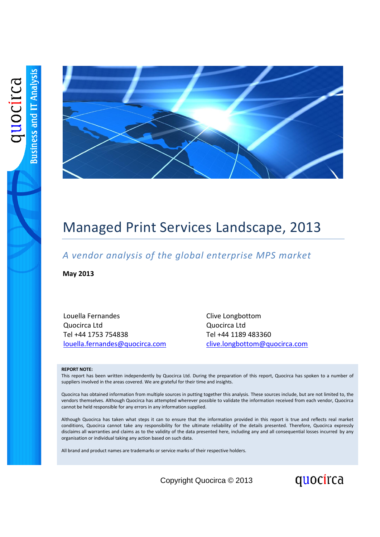

## Managed Print Services Landscape, 2013

*A vendor analysis of the global enterprise MPS market*

**May 2013**

**This report is reported that report is reported the complex of Clive Longbottom** and  $\Gamma$ Quocirca Ltd Tel +44 1753 754838 [louella.fernandes@quocirca.com](mailto:louella.fernandes@quocirca.com) Louella Fernandes **della transformation della sensa della sensa della transformation della socialización della transformation della contradicta della contradicta della contradicta della contradicta della contradicta della** 

Quocirca Ltd Tel +44 1189 483360 [clive.longbottom@quocirca.com](mailto:clive.longbottom@quocirca.com)

### **REPORT NOTE:**

This report has been written independently by Quocirca Ltd. During the preparation of this report, Quocirca has spoken to a number of suppliers involved in the areas covered. We are grateful for their time and insights.

Quocirca has obtained information from multiple sources in putting together this analysis. These sources include, but are not limited to, the vendors themselves. Although Quocirca has attempted wherever possible to validate the information received from each vendor, Quocirca cannot be held responsible for any errors in any information supplied.

Although Quocirca has taken what steps it can to ensure that the information provided in this report is true and reflects real market conditions, Quocirca cannot take any responsibility for the ultimate reliability of the details presented. Therefore, Quocirca expressly disclaims all warranties and claims as to the validity of the data presented here, including any and all consequential losses incurred by any organisation or individual taking any action based on such data.

All brand and product names are trademarks or service marks of their respective holders.

Copyright Quocirca © 2013

quocirca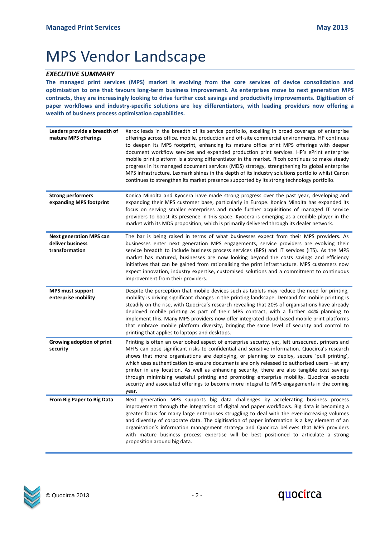# MPS Vendor Landscape

### *EXECUTIVE SUMMARY*

**The managed print services (MPS) market is evolving from the core services of device consolidation and optimisation to one that favours long-term business improvement. As enterprises move to next generation MPS contracts, they are increasingly looking to drive further cost savings and productivity improvements. Digitisation of paper workflows and industry-specific solutions are key differentiators, with leading providers now offering a wealth of business process optimisation capabilities.**

| Leaders provide a breadth of<br>mature MPS offerings                 | Xerox leads in the breadth of its service portfolio, excelling in broad coverage of enterprise<br>offerings across office, mobile, production and off-site commercial environments. HP continues<br>to deepen its MPS footprint, enhancing its mature office print MPS offerings with deeper<br>document workflow services and expanded production print services. HP's ePrint enterprise<br>mobile print platform is a strong differentiator in the market. Ricoh continues to make steady<br>progress in its managed document services (MDS) strategy, strengthening its global enterprise<br>MPS infrastructure. Lexmark shines in the depth of its industry solutions portfolio whilst Canon<br>continues to strengthen its market presence supported by its strong technology portfolio. |
|----------------------------------------------------------------------|-----------------------------------------------------------------------------------------------------------------------------------------------------------------------------------------------------------------------------------------------------------------------------------------------------------------------------------------------------------------------------------------------------------------------------------------------------------------------------------------------------------------------------------------------------------------------------------------------------------------------------------------------------------------------------------------------------------------------------------------------------------------------------------------------|
| <b>Strong performers</b><br>expanding MPS footprint                  | Konica Minolta and Kyocera have made strong progress over the past year, developing and<br>expanding their MPS customer base, particularly in Europe. Konica Minolta has expanded its<br>focus on serving smaller enterprises and made further acquisitions of managed IT service<br>providers to boost its presence in this space. Kyocera is emerging as a credible player in the<br>market with its MDS proposition, which is primarily delivered through its dealer network.                                                                                                                                                                                                                                                                                                              |
| <b>Next generation MPS can</b><br>deliver business<br>transformation | The bar is being raised in terms of what businesses expect from their MPS providers. As<br>businesses enter next generation MPS engagements, service providers are evolving their<br>service breadth to include business process services (BPS) and IT services (ITS). As the MPS<br>market has matured, businesses are now looking beyond the costs savings and efficiency<br>initiatives that can be gained from rationalising the print infrastructure. MPS customers now<br>expect innovation, industry expertise, customised solutions and a commitment to continuous<br>improvement from their providers.                                                                                                                                                                               |
| <b>MPS must support</b><br>enterprise mobility                       | Despite the perception that mobile devices such as tablets may reduce the need for printing,<br>mobility is driving significant changes in the printing landscape. Demand for mobile printing is<br>steadily on the rise, with Quocirca's research revealing that 20% of organisations have already<br>deployed mobile printing as part of their MPS contract, with a further 44% planning to<br>implement this. Many MPS providers now offer integrated cloud-based mobile print platforms<br>that embrace mobile platform diversity, bringing the same level of security and control to<br>printing that applies to laptops and desktops.                                                                                                                                                   |
| Growing adoption of print<br>security                                | Printing is often an overlooked aspect of enterprise security, yet, left unsecured, printers and<br>MFPs can pose significant risks to confidential and sensitive information. Quocirca's research<br>shows that more organisations are deploying, or planning to deploy, secure 'pull printing',<br>which uses authentication to ensure documents are only released to authorised users - at any<br>printer in any location. As well as enhancing security, there are also tangible cost savings<br>through minimising wasteful printing and promoting enterprise mobility. Quocirca expects<br>security and associated offerings to become more integral to MPS engagements in the coming<br>year.                                                                                          |
| From Big Paper to Big Data                                           | Next generation MPS supports big data challenges by accelerating business process<br>improvement through the integration of digital and paper workflows. Big data is becoming a<br>greater focus for many large enterprises struggling to deal with the ever-increasing volumes<br>and diversity of corporate data. The digitisation of paper information is a key element of an<br>organisation's information management strategy and Quocirca believes that MPS providers<br>with mature business process expertise will be best positioned to articulate a strong<br>proposition around big data.                                                                                                                                                                                          |



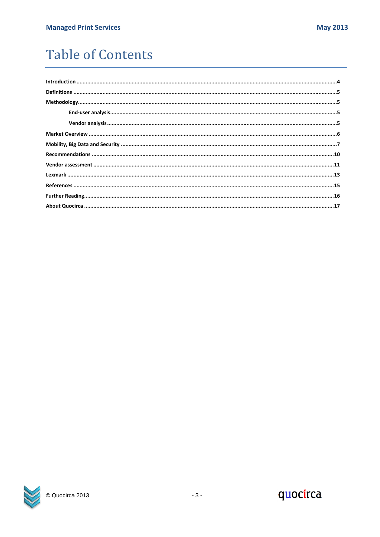## **Table of Contents**

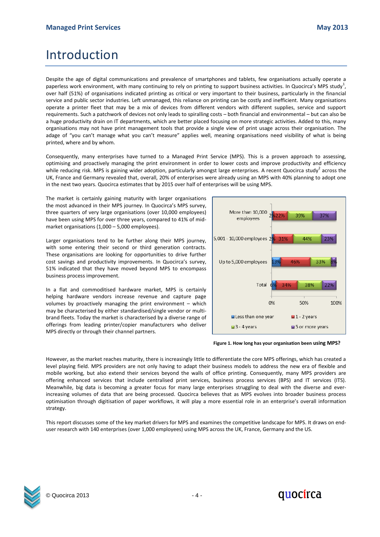### <span id="page-3-0"></span>Introduction

Despite the age of digital communications and prevalence of smartphones and tablets, few organisations actually operate a paperless work environment, with many continuing to rely on printing to support business activities. In Quocirca's MPS study<sup>1</sup>, over half (51%) of organisations indicated printing as critical or very important to their business, particularly in the financial service and public sector industries. Left unmanaged, this reliance on printing can be costly and inefficient. Many organisations operate a printer fleet that may be a mix of devices from different vendors with different supplies, service and support requirements. Such a patchwork of devices not only leads to spiralling costs – both financial and environmental – but can also be a huge productivity drain on IT departments, which are better placed focusing on more strategic activities. Added to this, many organisations may not have print management tools that provide a single view of print usage across their organisation. The adage of "you can't manage what you can't measure" applies well, meaning organisations need visibility of what is being printed, where and by whom.

Consequently, many enterprises have turned to a Managed Print Service (MPS). This is a proven approach to assessing, optimising and proactively managing the print environment in order to lower costs and improve productivity and efficiency while reducing risk. MPS is gaining wider adoption, particularly amongst large enterprises. A recent Quocirca study<sup>2</sup> across the UK, France and Germany revealed that, overall, 20% of enterprises were already using an MPS with 40% planning to adopt one in the next two years. Quocirca estimates that by 2015 over half of enterprises will be using MPS.

The market is certainly gaining maturity with larger organisations the most advanced in their MPS journey. In Quocirca's MPS survey, three quarters of very large organisations (over 10,000 employees) have been using MPS for over three years, compared to 41% of midmarket organisations (1,000 – 5,000 employees).

Larger organisations tend to be further along their MPS journey, with some entering their second or third generation contracts. These organisations are looking for opportunities to drive further cost savings and productivity improvements. In Quocirca's survey, 51% indicated that they have moved beyond MPS to encompass business process improvement.

In a flat and commoditised hardware market, MPS is certainly helping hardware vendors increase revenue and capture page volumes by proactively managing the print environment – which may be characterised by either standardised/single vendor or multibrand fleets. Today the market is characterised by a diverse range of offerings from leading printer/copier manufacturers who deliver MPS directly or through their channel partners.



**Figure 1. How long has your organisation been using MPS?**

However, as the market reaches maturity, there is increasingly little to differentiate the core MPS offerings, which has created a level playing field. MPS providers are not only having to adapt their business models to address the new era of flexible and mobile working, but also extend their services beyond the walls of office printing. Consequently, many MPS providers are offering enhanced services that include centralised print services, business process services (BPS) and IT services (ITS). Meanwhile, big data is becoming a greater focus for many large enterprises struggling to deal with the diverse and everincreasing volumes of data that are being processed. Quocirca believes that as MPS evolves into broader business process optimisation through digitisation of paper workflows, it will play a more essential role in an enterprise's overall information strategy.

This report discusses some of the key market drivers for MPS and examines the competitive landscape for MPS. It draws on enduser research with 140 enterprises (over 1,000 employees) using MPS across the UK, France, Germany and the US.



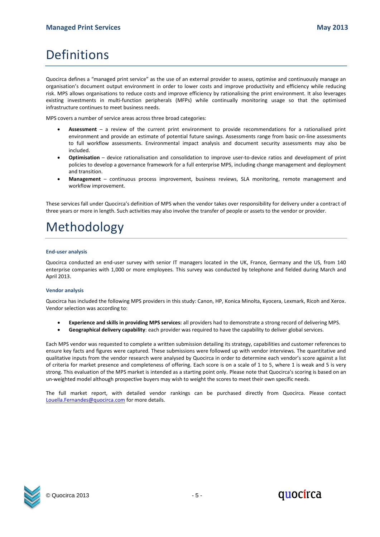### <span id="page-4-0"></span>Definitions

Quocirca defines a "managed print service" as the use of an external provider to assess, optimise and continuously manage an organisation's document output environment in order to lower costs and improve productivity and efficiency while reducing risk. MPS allows organisations to reduce costs and improve efficiency by rationalising the print environment. It also leverages existing investments in multi-function peripherals (MFPs) while continually monitoring usage so that the optimised infrastructure continues to meet business needs.

MPS covers a number of service areas across three broad categories:

- **Assessment** a review of the current print environment to provide recommendations for a rationalised print environment and provide an estimate of potential future savings. Assessments range from basic on-line assessments to full workflow assessments. Environmental impact analysis and document security assessments may also be included.
- **Optimisation** device rationalisation and consolidation to improve user-to-device ratios and development of print policies to develop a governance framework for a full enterprise MPS, including change management and deployment and transition.
- **Management**  continuous process improvement, business reviews, SLA monitoring, remote management and workflow improvement.

These services fall under Quocirca's definition of MPS when the vendor takes over responsibility for delivery under a contract of three years or more in length. Such activities may also involve the transfer of people or assets to the vendor or provider.

## <span id="page-4-1"></span>Methodology

### <span id="page-4-2"></span>**End-user analysis**

Quocirca conducted an end-user survey with senior IT managers located in the UK, France, Germany and the US, from 140 enterprise companies with 1,000 or more employees. This survey was conducted by telephone and fielded during March and April 2013.

#### <span id="page-4-3"></span>**Vendor analysis**

Quocirca has included the following MPS providers in this study: Canon, HP, Konica Minolta, Kyocera, Lexmark, Ricoh and Xerox. Vendor selection was according to:

- **Experience and skills in providing MPS services:** all providers had to demonstrate a strong record of delivering MPS.
- **Geographical delivery capability**: each provider was required to have the capability to deliver global services.

Each MPS vendor was requested to complete a written submission detailing its strategy, capabilities and customer references to ensure key facts and figures were captured. These submissions were followed up with vendor interviews. The quantitative and qualitative inputs from the vendor research were analysed by Quocirca in order to determine each vendor's score against a list of criteria for market presence and completeness of offering. Each score is on a scale of 1 to 5, where 1 is weak and 5 is very strong. This evaluation of the MPS market is intended as a starting point only. Please note that Quocirca's scoring is based on an un-weighted model although prospective buyers may wish to weight the scores to meet their own specific needs.

The full market report, with detailed vendor rankings can be purchased directly from Quocirca. Please contact [Louella.Fernandes@quocirca.com](mailto:Louella.Fernandes@quocirca.com) for more details.



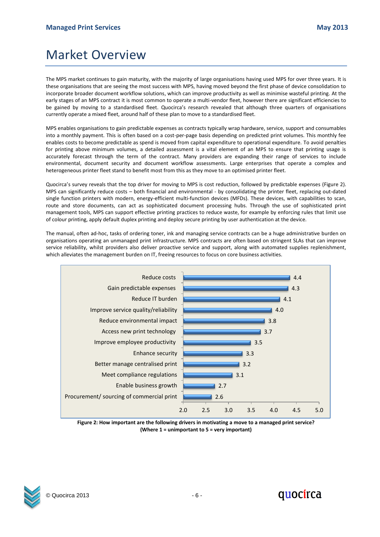### <span id="page-5-0"></span>Market Overview

The MPS market continues to gain maturity, with the majority of large organisations having used MPS for over three years. It is these organisations that are seeing the most success with MPS, having moved beyond the first phase of device consolidation to incorporate broader document workflow solutions, which can improve productivity as well as minimise wasteful printing. At the early stages of an MPS contract it is most common to operate a multi-vendor fleet, however there are significant efficiencies to be gained by moving to a standardised fleet. Quocirca's research revealed that although three quarters of organisations currently operate a mixed fleet, around half of these plan to move to a standardised fleet.

MPS enables organisations to gain predictable expenses as contracts typically wrap hardware, service, support and consumables into a monthly payment. This is often based on a cost-per-page basis depending on predicted print volumes. This monthly fee enables costs to become predictable as spend is moved from capital expenditure to operational expenditure. To avoid penalties for printing above minimum volumes, a detailed assessment is a vital element of an MPS to ensure that printing usage is accurately forecast through the term of the contract. Many providers are expanding their range of services to include environmental, document security and document workflow assessments. Large enterprises that operate a complex and heterogeneous printer fleet stand to benefit most from this as they move to an optimised printer fleet.

Quocirca's survey reveals that the top driver for moving to MPS is cost reduction, followed by predictable expenses (Figure 2). MPS can significantly reduce costs – both financial and environmental - by consolidating the printer fleet, replacing out-dated single function printers with modern, energy-efficient multi-function devices (MFDs). These devices, with capabilities to scan, route and store documents, can act as sophisticated document processing hubs. Through the use of sophisticated print management tools, MPS can support effective printing practices to reduce waste, for example by enforcing rules that limit use of colour printing, apply default duplex printing and deploy secure printing by user authentication at the device.

The manual, often ad-hoc, tasks of ordering toner, ink and managing service contracts can be a huge administrative burden on organisations operating an unmanaged print infrastructure. MPS contracts are often based on stringent SLAs that can improve service reliability, whilst providers also deliver proactive service and support, along with automated supplies replenishment, which alleviates the management burden on IT, freeing resources to focus on core business activities.



**Figure 2: How important are the following drivers in motivating a move to a managed print service? (Where 1 = unimportant to 5 = very important)**



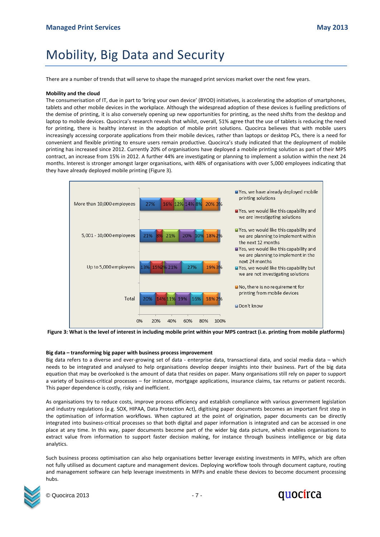## <span id="page-6-0"></span>Mobility, Big Data and Security

There are a number of trends that will serve to shape the managed print services market over the next few years.

### **Mobility and the cloud**

The consumerisation of IT, due in part to 'bring your own device' (BYOD) initiatives, is accelerating the adoption of smartphones, tablets and other mobile devices in the workplace. Although the widespread adoption of these devices is fuelling predictions of the demise of printing, it is also conversely opening up new opportunities for printing, as the need shifts from the desktop and laptop to mobile devices. Quocirca's research reveals that whilst, overall, 51% agree that the use of tablets is reducing the need for printing, there is healthy interest in the adoption of mobile print solutions. Quocirca believes that with mobile users increasingly accessing corporate applications from their mobile devices, rather than laptops or desktop PCs, there is a need for convenient and flexible printing to ensure users remain productive. Quocirca's study indicated that the deployment of mobile printing has increased since 2012. Currently 20% of organisations have deployed a mobile printing solution as part of their MPS contract, an increase from 15% in 2012. A further 44% are investigating or planning to implement a solution within the next 24 months. Interest is stronger amongst larger organisations, with 48% of organisations with over 5,000 employees indicating that they have already deployed mobile printing (Figure 3).



**Figure 3: What is the level of interest in including mobile print within your MPS contract (i.e. printing from mobile platforms)**

#### **Big data – transforming big paper with business process improvement**

Big data refers to a diverse and ever-growing set of data - enterprise data, transactional data, and social media data – which needs to be integrated and analysed to help organisations develop deeper insights into their business. Part of the big data equation that may be overlooked is the amount of data that resides on paper. Many organisations still rely on paper to support a variety of business-critical processes – for instance, mortgage applications, insurance claims, tax returns or patient records. This paper dependence is costly, risky and inefficient.

As organisations try to reduce costs, improve process efficiency and establish compliance with various government legislation and industry regulations (e.g. SOX, HIPAA, Data Protection Act), digitising paper documents becomes an important first step in the optimisation of information workflows. When captured at the point of origination, paper documents can be directly integrated into business-critical processes so that both digital and paper information is integrated and can be accessed in one place at any time. In this way, paper documents become part of the wider big data picture, which enables organisations to extract value from information to support faster decision making, for instance through business intelligence or big data analytics.

Such business process optimisation can also help organisations better leverage existing investments in MFPs, which are often not fully utilised as document capture and management devices. Deploying workflow tools through document capture, routing and management software can help leverage investments in MFPs and enable these devices to become document processing hubs.



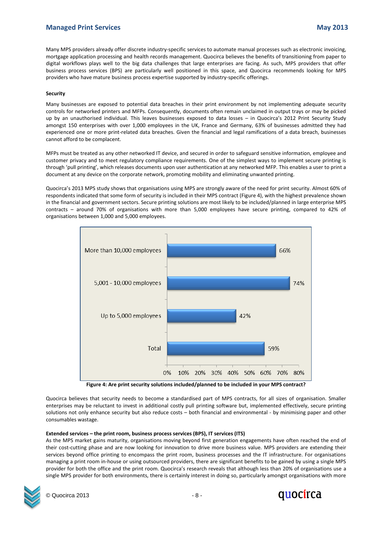### **Managed Print Services May 2013**

Many MPS providers already offer discrete industry-specific services to automate manual processes such as electronic invoicing, mortgage application processing and health records management. Quocirca believes the benefits of transitioning from paper to digital workflows plays well to the big data challenges that large enterprises are facing. As such, MPS providers that offer business process services (BPS) are particularly well positioned in this space, and Quocirca recommends looking for MPS providers who have mature business process expertise supported by industry-specific offerings.

### **Security**

Many businesses are exposed to potential data breaches in their print environment by not implementing adequate security controls for networked printers and MFPs. Consequently, documents often remain unclaimed in output trays or may be picked up by an unauthorised individual. This leaves businesses exposed to data losses – in Quocirca's 2012 Print Security Study amongst 150 enterprises with over 1,000 employees in the UK, France and Germany, 63% of businesses admitted they had experienced one or more print-related data breaches. Given the financial and legal ramifications of a data breach, businesses cannot afford to be complacent.

MFPs must be treated as any other networked IT device, and secured in order to safeguard sensitive information, employee and customer privacy and to meet regulatory compliance requirements. One of the simplest ways to implement secure printing is through 'pull printing', which releases documents upon user authentication at any networked MFP. This enables a user to print a document at any device on the corporate network, promoting mobility and eliminating unwanted printing.

Quocirca's 2013 MPS study shows that organisations using MPS are strongly aware of the need for print security. Almost 60% of respondents indicated that some form of security is included in their MPS contract (Figure 4), with the highest prevalence shown in the financial and government sectors. Secure printing solutions are most likely to be included/planned in large enterprise MPS contracts – around 70% of organisations with more than 5,000 employees have secure printing, compared to 42% of organisations between 1,000 and 5,000 employees.



**Figure 4: Are print security solutions included/planned to be included in your MPS contract?**

Quocirca believes that security needs to become a standardised part of MPS contracts, for all sizes of organisation. Smaller enterprises may be reluctant to invest in additional costly pull printing software but, implemented effectively, secure printing solutions not only enhance security but also reduce costs – both financial and environmental - by minimising paper and other consumables wastage.

#### **Extended services – the print room, business process services (BPS), IT services (ITS)**

As the MPS market gains maturity, organisations moving beyond first generation engagements have often reached the end of their cost-cutting phase and are now looking for innovation to drive more business value. MPS providers are extending their services beyond office printing to encompass the print room, business processes and the IT infrastructure. For organisations managing a print room in-house or using outsourced providers, there are significant benefits to be gained by using a single MPS provider for both the office and the print room. Quocirca's research reveals that although less than 20% of organisations use a single MPS provider for both environments, there is certainly interest in doing so, particularly amongst organisations with more



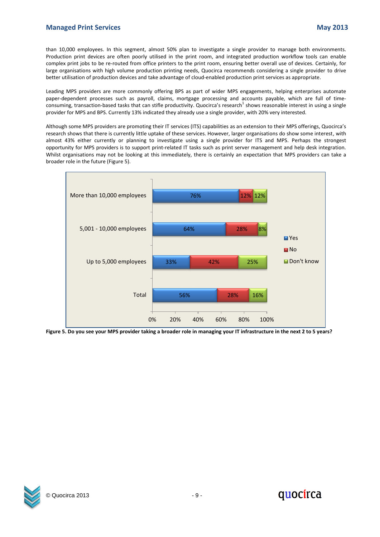### **Managed Print Services May 2013**

than 10,000 employees. In this segment, almost 50% plan to investigate a single provider to manage both environments. Production print devices are often poorly utilised in the print room, and integrated production workflow tools can enable complex print jobs to be re-routed from office printers to the print room, ensuring better overall use of devices. Certainly, for large organisations with high volume production printing needs, Quocirca recommends considering a single provider to drive better utilisation of production devices and take advantage of cloud-enabled production print services as appropriate.

Leading MPS providers are more commonly offering BPS as part of wider MPS engagements, helping enterprises automate paper-dependent processes such as payroll, claims, mortgage processing and accounts payable, which are full of timeconsuming, transaction-based tasks that can stifle productivity. Quocirca's research<sup>1</sup> shows reasonable interest in using a single provider for MPS and BPS. Currently 13% indicated they already use a single provider, with 20% very interested.

Although some MPS providers are promoting their IT services (ITS) capabilities as an extension to their MPS offerings, Quocirca's research shows that there is currently little uptake of these services. However, larger organisations do show some interest, with almost 43% either currently or planning to investigate using a single provider for ITS and MPS. Perhaps the strongest opportunity for MPS providers is to support print-related IT tasks such as print server management and help desk integration. Whilst organisations may not be looking at this immediately, there is certainly an expectation that MPS providers can take a broader role in the future (Figure 5).



**Figure 5. Do you see your MPS provider taking a broader role in managing your IT infrastructure in the next 2 to 5 years?**

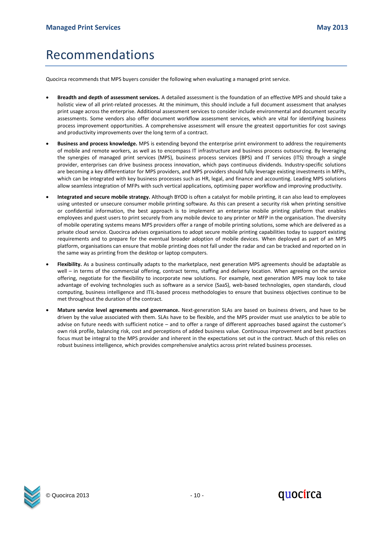### <span id="page-9-0"></span>Recommendations

Quocirca recommends that MPS buyers consider the following when evaluating a managed print service.

- **Breadth and depth of assessment services.** A detailed assessment is the foundation of an effective MPS and should take a holistic view of all print-related processes. At the minimum, this should include a full document assessment that analyses print usage across the enterprise. Additional assessment services to consider include environmental and document security assessments. Some vendors also offer document workflow assessment services, which are vital for identifying business process improvement opportunities. A comprehensive assessment will ensure the greatest opportunities for cost savings and productivity improvements over the long term of a contract.
- **Business and process knowledge.** MPS is extending beyond the enterprise print environment to address the requirements of mobile and remote workers, as well as to encompass IT infrastructure and business process outsourcing. By leveraging the synergies of managed print services (MPS), business process services (BPS) and IT services (ITS) through a single provider, enterprises can drive business process innovation, which pays continuous dividends. Industry-specific solutions are becoming a key differentiator for MPS providers, and MPS providers should fully leverage existing investments in MFPs, which can be integrated with key business processes such as HR, legal, and finance and accounting. Leading MPS solutions allow seamless integration of MFPs with such vertical applications, optimising paper workflow and improving productivity.
- **Integrated and secure mobile strategy.** Although BYOD is often a catalyst for mobile printing, it can also lead to employees using untested or unsecure consumer mobile printing software. As this can present a security risk when printing sensitive or confidential information, the best approach is to implement an enterprise mobile printing platform that enables employees and guest users to print securely from any mobile device to any printer or MFP in the organisation. The diversity of mobile operating systems means MPS providers offer a range of mobile printing solutions, some which are delivered as a private cloud service. Quocirca advises organisations to adopt secure mobile printing capabilities today to support existing requirements and to prepare for the eventual broader adoption of mobile devices. When deployed as part of an MPS platform, organisations can ensure that mobile printing does not fall under the radar and can be tracked and reported on in the same way as printing from the desktop or laptop computers.
- **Flexibility.** As a business continually adapts to the marketplace, next generation MPS agreements should be adaptable as well – in terms of the commercial offering, contract terms, staffing and delivery location. When agreeing on the service offering, negotiate for the flexibility to incorporate new solutions. For example, next generation MPS may look to take advantage of evolving technologies such as software as a service (SaaS), web-based technologies, open standards, cloud computing, business intelligence and ITIL-based process methodologies to ensure that business objectives continue to be met throughout the duration of the contract.
- **Mature service level agreements and governance.** Next-generation SLAs are based on business drivers, and have to be driven by the value associated with them. SLAs have to be flexible, and the MPS provider must use analytics to be able to advise on future needs with sufficient notice – and to offer a range of different approaches based against the customer's own risk profile, balancing risk, cost and perceptions of added business value. Continuous improvement and best practices focus must be integral to the MPS provider and inherent in the expectations set out in the contract. Much of this relies on robust business intelligence, which provides comprehensive analytics across print related business processes.



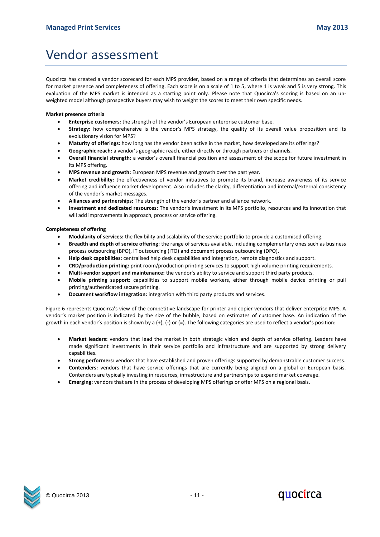### <span id="page-10-0"></span>Vendor assessment

Quocirca has created a vendor scorecard for each MPS provider, based on a range of criteria that determines an overall score for market presence and completeness of offering. Each score is on a scale of 1 to 5, where 1 is weak and 5 is very strong. This evaluation of the MPS market is intended as a starting point only. Please note that Quocirca's scoring is based on an unweighted model although prospective buyers may wish to weight the scores to meet their own specific needs.

### **Market presence criteria**

- **Enterprise customers:** the strength of the vendor's European enterprise customer base.
- **Strategy:** how comprehensive is the vendor's MPS strategy, the quality of its overall value proposition and its evolutionary vision for MPS?
- **Maturity of offerings:** how long has the vendor been active in the market, how developed are its offerings?
- **Geographic reach:** a vendor's geographic reach, either directly or through partners or channels.
- **Overall financial strength:** a vendor's overall financial position and assessment of the scope for future investment in its MPS offering.
- **MPS revenue and growth:** European MPS revenue and growth over the past year.
- **Market credibility:** the effectiveness of vendor initiatives to promote its brand, increase awareness of its service offering and influence market development. Also includes the clarity, differentiation and internal/external consistency of the vendor's market messages.
- **Alliances and partnerships:** The strength of the vendor's partner and alliance network.
- **Investment and dedicated resources:** The vendor's investment in its MPS portfolio, resources and its innovation that will add improvements in approach, process or service offering.

### **Completeness of offering**

- **Modularity of services:** the flexibility and scalability of the service portfolio to provide a customised offering.
- **Breadth and depth of service offering:** the range of services available, including complementary ones such as business process outsourcing (BPO), IT outsourcing (ITO) and document process outsourcing (DPO).
- **Help desk capabilities:** centralised help desk capabilities and integration, remote diagnostics and support.
- **CRD/production printing:** print room/production printing services to support high volume printing requirements.
- **Multi-vendor support and maintenance:** the vendor's ability to service and support third party products.
- **Mobile printing support:** capabilities to support mobile workers, either through mobile device printing or pull printing/authenticated secure printing.
- **Document workflow integration:** integration with third party products and services.

Figure 6 represents Quocirca's view of the competitive landscape for printer and copier vendors that deliver enterprise MPS. A vendor's market position is indicated by the size of the bubble, based on estimates of customer base. An indication of the growth in each vendor's position is shown by a (+), (-) or (=). The following categories are used to reflect a vendor's position:

- **Market leaders:** vendors that lead the market in both strategic vision and depth of service offering. Leaders have made significant investments in their service portfolio and infrastructure and are supported by strong delivery capabilities.
- **Strong performers:** vendors that have established and proven offerings supported by demonstrable customer success.
- **Contenders:** vendors that have service offerings that are currently being aligned on a global or European basis. Contenders are typically investing in resources, infrastructure and partnerships to expand market coverage.
- **Emerging:** vendors that are in the process of developing MPS offerings or offer MPS on a regional basis.



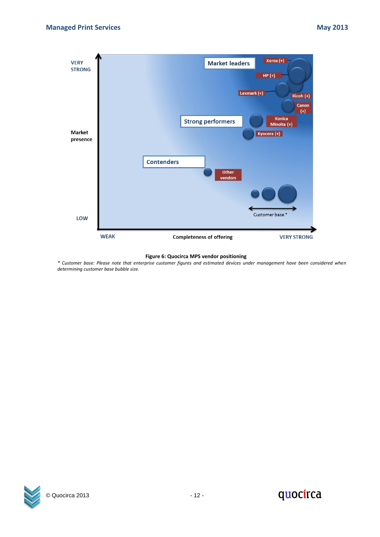

### **Figure 6: Quocirca MPS vendor positioning**

*\* Customer base: Please note that enterprise customer figures and estimated devices under management have been considered when determining customer base bubble size.*



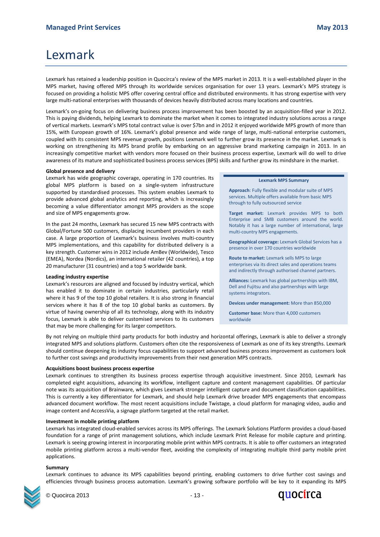### Lexmark

<span id="page-12-0"></span>Lexmark has retained a leadership position in Quocirca's review of the MPS market in 2013. It is a well-established player in the MPS market, having offered MPS through its worldwide services organisation for over 13 years. Lexmark's MPS strategy is focused on providing a holistic MPS offer covering central office and distributed environments. It has strong expertise with very large multi-national enterprises with thousands of devices heavily distributed across many locations and countries.

Lexmark's on-going focus on delivering business process improvement has been boosted by an acquisition-filled year in 2012. This is paying dividends, helping Lexmark to dominate the market when it comes to integrated industry solutions across a range of vertical markets. Lexmark's MPS total contract value is over \$7bn and in 2012 it enjoyed worldwide MPS growth of more than 15%, with European growth of 16%. Lexmark's global presence and wide range of large, multi-national enterprise customers, coupled with its consistent MPS revenue growth, positions Lexmark well to further grow its presence in the market. Lexmark is working on strengthening its MPS brand profile by embarking on an aggressive brand marketing campaign in 2013. In an increasingly competitive market with vendors more focused on their business process expertise, Lexmark will do well to drive awareness of its mature and sophisticated business process services (BPS) skills and further grow its mindshare in the market.

#### **Global presence and delivery**

Lexmark has wide geographic coverage, operating in 170 countries. Its global MPS platform is based on a single-system infrastructure supported by standardised processes. This system enables Lexmark to provide advanced global analytics and reporting, which is increasingly becoming a value differentiator amongst MPS providers as the scope and size of MPS engagements grow.

In the past 24 months, Lexmark has secured 15 new MPS contracts with Global/Fortune 500 customers, displacing incumbent providers in each case. A large proportion of Lexmark's business involves multi-country MPS implementations, and this capability for distributed delivery is a key strength. Customer wins in 2012 include AmBev (Worldwide), Tesco (EMEA), Nordea (Nordics), an international retailer (42 countries), a top 20 manufacturer (31 countries) and a top 5 worldwide bank.

#### **Leading industry expertise**

Lexmark's resources are aligned and focused by industry vertical, which has enabled it to dominate in certain industries, particularly retail where it has 9 of the top 10 global retailers. It is also strong in financial services where it has 8 of the top 10 global banks as customers. By virtue of having ownership of all its technology, along with its industry focus, Lexmark is able to deliver customised services to its customers that may be more challenging for its larger competitors.

#### **Lexmark MPS Summary**

**Approach**: Fully flexible and modular suite of MPS services. Multiple offers available from basic MPS through to fully outsourced service

**Target market:** Lexmark provides MPS to both Enterprise and SMB customers around the world. Notably it has a large number of international, large multi-country MPS engagements.

**Geographical coverage:** Lexmark Global Services has a presence in over 170 countries worldwide

**Route to market:** Lexmark sells MPS to large enterprises via its direct sales and operations teams and indirectly through authorised channel partners.

**Alliances:** Lexmark has global partnerships with IBM, Dell and Fujitsu and also partnerships with large systems integrators.

**Devices under management:** More than 850,000

**Customer base:** More than 4,000 customers worldwide

By not relying on multiple third party products for both industry and horizontal offerings, Lexmark is able to deliver a strongly integrated MPS and solutions platform. Customers often cite the responsiveness of Lexmark as one of its key strengths. Lexmark should continue deepening its industry focus capabilities to support advanced business process improvement as customers look to further cost savings and productivity improvements from their next generation MPS contracts.

#### **Acquisitions boost business process expertise**

Lexmark continues to strengthen its business process expertise through acquisitive investment. Since 2010, Lexmark has completed eight acquisitions, advancing its workflow, intelligent capture and content management capabilities. Of particular note was its acquisition of Brainware, which gives Lexmark stronger intelligent capture and document classification capabilities. This is currently a key differentiator for Lexmark, and should help Lexmark drive broader MPS engagements that encompass advanced document workflow. The most recent acquisitions include Twistage, a cloud platform for managing video, audio and image content and AccessVia, a signage platform targeted at the retail market.

### **Investment in mobile printing platform**

Lexmark has integrated cloud-enabled services across its MPS offerings. The Lexmark Solutions Platform provides a cloud-based foundation for a range of print management solutions, which include Lexmark Print Release for mobile capture and printing. Lexmark is seeing growing interest in incorporating mobile print within MPS contracts. It is able to offer customers an integrated mobile printing platform across a multi-vendor fleet, avoiding the complexity of integrating multiple third party mobile print applications.

#### **Summary**

Lexmark continues to advance its MPS capabilities beyond printing, enabling customers to drive further cost savings and efficiencies through business process automation. Lexmark's growing software portfolio will be key to it expanding its MPS



© Quocirca 2013 - 13 -

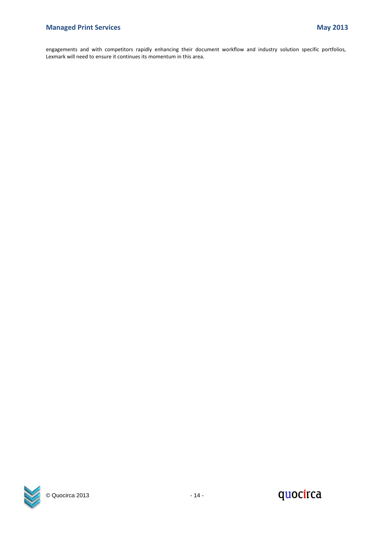engagements and with competitors rapidly enhancing their document workflow and industry solution specific portfolios, Lexmark will need to ensure it continues its momentum in this area.



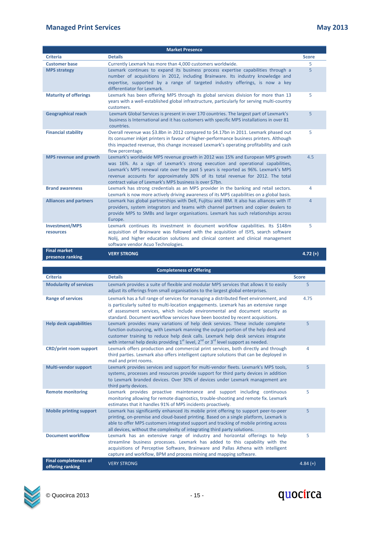### **Managed Print Services May 2013**

<span id="page-14-0"></span>

| <b>Market Presence</b>                  |                                                                                                                                                                                                                                                                                                                                                                                                      |                |  |
|-----------------------------------------|------------------------------------------------------------------------------------------------------------------------------------------------------------------------------------------------------------------------------------------------------------------------------------------------------------------------------------------------------------------------------------------------------|----------------|--|
| <b>Criteria</b>                         | <b>Details</b>                                                                                                                                                                                                                                                                                                                                                                                       | <b>Score</b>   |  |
| <b>Customer base</b>                    | Currently Lexmark has more than 4,000 customers worldwide.                                                                                                                                                                                                                                                                                                                                           | 5              |  |
| <b>MPS strategy</b>                     | Lexmark continues to expand its business process expertise capabilities through a<br>number of acquisitions in 2012, including Brainware. Its industry knowledge and<br>expertise, supported by a range of targeted industry offerings, is now a key<br>differentiator for Lexmark.                                                                                                                  | 5              |  |
| <b>Maturity of offerings</b>            | Lexmark has been offering MPS through its global services division for more than 13<br>years with a well-established global infrastructure, particularly for serving multi-country<br>customers.                                                                                                                                                                                                     | 5              |  |
| <b>Geographical reach</b>               | Lexmark Global Services is present in over 170 countries. The largest part of Lexmark's<br>business is International and it has customers with specific MPS installations in over 81<br>countries.                                                                                                                                                                                                   | 5              |  |
| <b>Financial stability</b>              | Overall revenue was \$3.8bn in 2012 compared to \$4.17bn in 2011. Lexmark phased out<br>its consumer inkjet printers in favour of higher-performance business printers. Although<br>this impacted revenue, this change increased Lexmark's operating profitability and cash<br>flow percentage.                                                                                                      | 5              |  |
| <b>MPS revenue and growth</b>           | Lexmark's worldwide MPS revenue growth in 2012 was 15% and European MPS growth<br>was 16%. As a sign of Lexmark's strong execution and operational capabilities,<br>Lexmark's MPS renewal rate over the past 5 years is reported as 96%. Lexmark's MPS<br>revenue accounts for approximately 30% of its total revenue for 2012. The total<br>contract value of Lexmark's MPS business is over \$7bn. | 4.5            |  |
| <b>Brand awareness</b>                  | Lexmark has strong credentials as an MPS provider in the banking and retail sectors.<br>Lexmark is now more actively driving awareness of its MPS capabilities on a global basis.                                                                                                                                                                                                                    | 4              |  |
| <b>Alliances and partners</b>           | Lexmark has global partnerships with Dell, Fujitsu and IBM. It also has alliances with IT<br>providers, system integrators and teams with channel partners and copier dealers to<br>provide MPS to SMBs and larger organisations. Lexmark has such relationships across<br>Europe.                                                                                                                   | $\overline{4}$ |  |
| <b>Investment/MPS</b><br>resources      | Lexmark continues its investment in document workflow capabilities. Its \$148m<br>acquisition of Brainware was followed with the acquisition of ISYS, search software<br>Nolij, and higher education solutions and clinical content and clinical management<br>software vendor Acuo Technologies.                                                                                                    | 5              |  |
| <b>Final market</b><br>presence ranking | <b>VERY STRONG</b>                                                                                                                                                                                                                                                                                                                                                                                   | $4.72(+)$      |  |

| <b>Completeness of Offering</b>                  |                                                                                                                                                                                                                                                                                                                                                               |              |  |
|--------------------------------------------------|---------------------------------------------------------------------------------------------------------------------------------------------------------------------------------------------------------------------------------------------------------------------------------------------------------------------------------------------------------------|--------------|--|
| <b>Criteria</b>                                  | <b>Details</b>                                                                                                                                                                                                                                                                                                                                                | <b>Score</b> |  |
| <b>Modularity of services</b>                    | Lexmark provides a suite of flexible and modular MPS services that allows it to easily<br>adjust its offerings from small organisations to the largest global enterprises.                                                                                                                                                                                    | 5            |  |
| <b>Range of services</b>                         | Lexmark has a full range of services for managing a distributed fleet environment, and<br>is particularly suited to multi-location engagements. Lexmark has an extensive range<br>of assessment services, which include environmental and document security as<br>standard. Document workflow services have been boosted by recent acquisitions.              | 4.75         |  |
| <b>Help desk capabilities</b>                    | Lexmark provides many variations of help desk services. These include complete<br>function outsourcing, with Lexmark manning the output portion of the help desk and<br>customer training to reduce help desk calls. Lexmark help desk services integrate<br>with internal help desks providing $1^{st}$ level, $2^{nd}$ or $3^{rd}$ level support as needed. | 5            |  |
| <b>CRD/print room support</b>                    | Lexmark offers production and commercial print services, both directly and through<br>third parties. Lexmark also offers intelligent capture solutions that can be deployed in<br>mail and print rooms.                                                                                                                                                       | 4            |  |
| <b>Multi-vendor support</b>                      | Lexmark provides services and support for multi-vendor fleets. Lexmark's MPS tools,<br>systems, processes and resources provide support for third party devices in addition<br>to Lexmark branded devices. Over 30% of devices under Lexmark management are<br>third party devices.                                                                           | 5            |  |
| <b>Remote monitoring</b>                         | Lexmark provides proactive maintenance and support including continuous<br>monitoring allowing for remote diagnostics, trouble-shooting and remote fix. Lexmark<br>estimates that it handles 91% of MPS incidents proactively.                                                                                                                                | 5            |  |
| <b>Mobile printing support</b>                   | Lexmark has significantly enhanced its mobile print offering to support peer-to-peer<br>printing, on-premise and cloud-based printing. Based on a single platform, Lexmark is<br>able to offer MPS customers integrated support and tracking of mobile printing across<br>all devices, without the complexity of integrating third party solutions.           | 5            |  |
| <b>Document workflow</b>                         | Lexmark has an extensive range of industry and horizontal offerings to help<br>streamline business processes. Lexmark has added to this capability with the<br>acquisitions of Perceptive Software, Brainware and Pallas Athena with intelligent<br>capture and workflow, BPM and process mining and mapping software.                                        | 5            |  |
| <b>Final completeness of</b><br>offering ranking | <b>VERY STRONG</b>                                                                                                                                                                                                                                                                                                                                            | $4.84(+)$    |  |



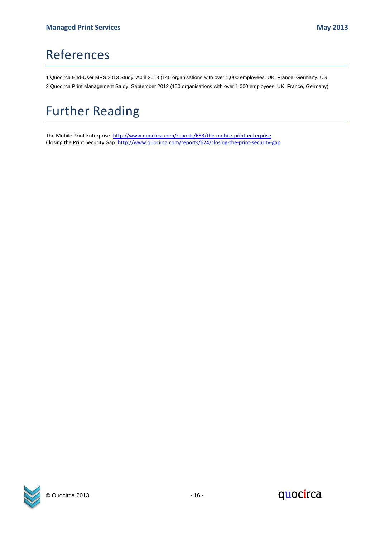### References

1 Quocirca End-User MPS 2013 Study, April 2013 (140 organisations with over 1,000 employees, UK, France, Germany, US

2 Quocirca Print Management Study, September 2012 (150 organisations with over 1,000 employees, UK, France, Germany)

## <span id="page-15-0"></span>Further Reading

The Mobile Print Enterprise[: http://www.quocirca.com/reports/653/the-mobile-print-enterprise](http://www.quocirca.com/reports/653/the-mobile-print-enterprise) Closing the Print Security Gap[: http://www.quocirca.com/reports/624/closing-the-print-security-gap](http://www.quocirca.com/reports/624/closing-the-print-security-gap)